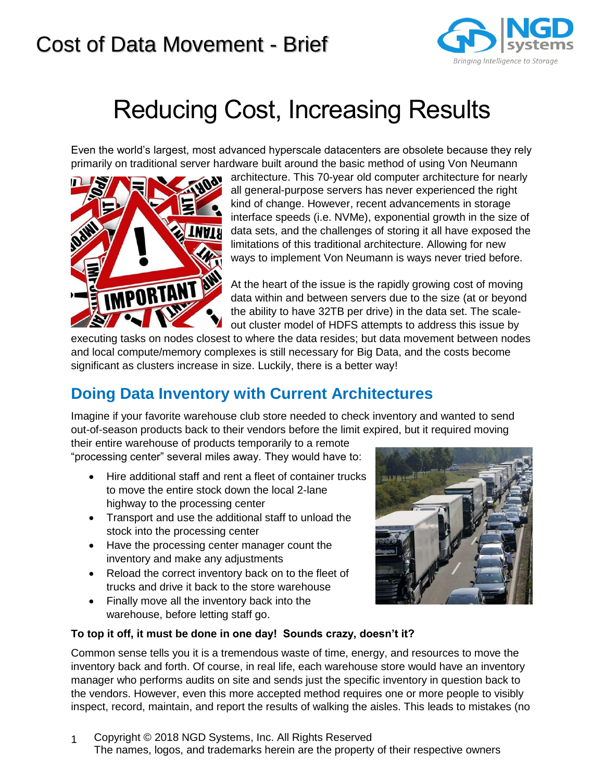

# Reducing Cost, Increasing Results

Even the world's largest, most advanced hyperscale datacenters are obsolete because they rely primarily on traditional server hardware built around the basic method of using Von Neumann



architecture. This 70-year old computer architecture for nearly all general-purpose servers has never experienced the right kind of change. However, recent advancements in storage interface speeds (i.e. NVMe), exponential growth in the size of data sets, and the challenges of storing it all have exposed the limitations of this traditional architecture. Allowing for new ways to implement Von Neumann is ways never tried before.

At the heart of the issue is the rapidly growing cost of moving data within and between servers due to the size (at or beyond the ability to have 32TB per drive) in the data set. The scaleout cluster model of HDFS attempts to address this issue by

executing tasks on nodes closest to where the data resides; but data movement between nodes and local compute/memory complexes is still necessary for Big Data, and the costs become significant as clusters increase in size. Luckily, there is a better way!

### **Doing Data Inventory with Current Architectures**

Imagine if your favorite warehouse club store needed to check inventory and wanted to send out-of-season products back to their vendors before the limit expired, but it required moving

their entire warehouse of products temporarily to a remote "processing center" several miles away. They would have to:

- Hire additional staff and rent a fleet of container trucks to move the entire stock down the local 2-lane highway to the processing center
- Transport and use the additional staff to unload the stock into the processing center
- Have the processing center manager count the inventory and make any adjustments
- Reload the correct inventory back on to the fleet of trucks and drive it back to the store warehouse
- Finally move all the inventory back into the warehouse, before letting staff go.



#### **To top it off, it must be done in one day! Sounds crazy, doesn't it?**

Common sense tells you it is a tremendous waste of time, energy, and resources to move the inventory back and forth. Of course, in real life, each warehouse store would have an inventory manager who performs audits on site and sends just the specific inventory in question back to the vendors. However, even this more accepted method requires one or more people to visibly inspect, record, maintain, and report the results of walking the aisles. This leads to mistakes (no

1 Copyright © 2018 NGD Systems, Inc. All Rights Reserved The names, logos, and trademarks herein are the property of their respective owners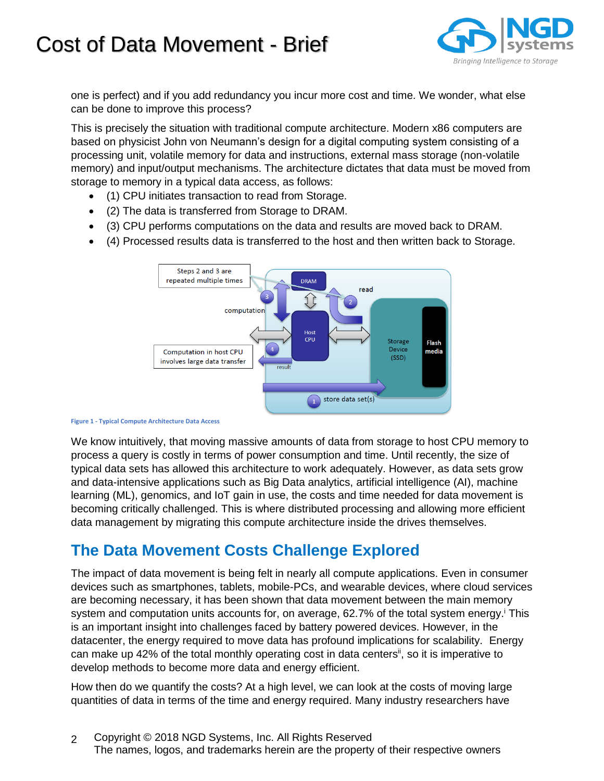

one is perfect) and if you add redundancy you incur more cost and time. We wonder, what else can be done to improve this process?

This is precisely the situation with traditional compute architecture. Modern x86 computers are based on physicist John von Neumann's design for a digital computing system consisting of a processing unit, volatile memory for data and instructions, external mass storage (non-volatile memory) and input/output mechanisms. The architecture dictates that data must be moved from storage to memory in a typical data access, as follows:

- (1) CPU initiates transaction to read from Storage.
- (2) The data is transferred from Storage to DRAM.
- (3) CPU performs computations on the data and results are moved back to DRAM.
- (4) Processed results data is transferred to the host and then written back to Storage.



**Figure 1 - Typical Compute Architecture Data Access**

We know intuitively, that moving massive amounts of data from storage to host CPU memory to process a query is costly in terms of power consumption and time. Until recently, the size of typical data sets has allowed this architecture to work adequately. However, as data sets grow and data-intensive applications such as Big Data analytics, artificial intelligence (AI), machine learning (ML), genomics, and IoT gain in use, the costs and time needed for data movement is becoming critically challenged. This is where distributed processing and allowing more efficient data management by migrating this compute architecture inside the drives themselves.

### **The Data Movement Costs Challenge Explored**

The impact of data movement is being felt in nearly all compute applications. Even in consumer devices such as smartphones, tablets, mobile-PCs, and wearable devices, where cloud services are becoming necessary, it has been shown that data movement between the main memory system and computation units accounts for, on average, 62.7% of the total system energy. This is an important insight into challenges faced by battery powered devices. However, in the datacenter, the energy required to move data has profound implications for scalability. Energy can make up 42% of the total monthly operating cost in data centers<sup>it</sup>, so it is imperative to develop methods to become more data and energy efficient.

How then do we quantify the costs? At a high level, we can look at the costs of moving large quantities of data in terms of the time and energy required. Many industry researchers have

2 Copyright © 2018 NGD Systems, Inc. All Rights Reserved The names, logos, and trademarks herein are the property of their respective owners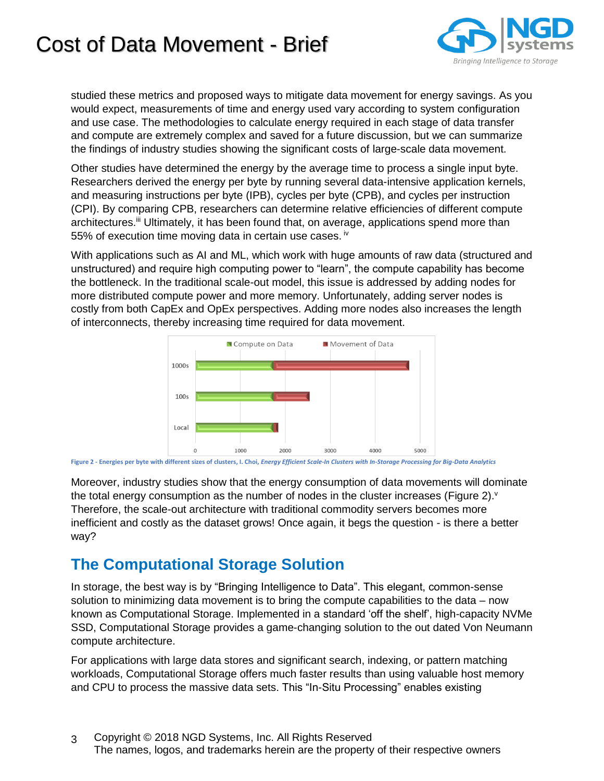

studied these metrics and proposed ways to mitigate data movement for energy savings. As you would expect, measurements of time and energy used vary according to system configuration and use case. The methodologies to calculate energy required in each stage of data transfer and compute are extremely complex and saved for a future discussion, but we can summarize the findings of industry studies showing the significant costs of large-scale data movement.

Other studies have determined the energy by the average time to process a single input byte. Researchers derived the energy per byte by running several data-intensive application kernels, and measuring instructions per byte (IPB), cycles per byte (CPB), and cycles per instruction (CPI). By comparing CPB, researchers can determine relative efficiencies of different compute architectures.<sup>iii</sup> Ultimately, it has been found that, on average, applications spend more than 55% of execution time moving data in certain use cases.  $iv$ 

With applications such as AI and ML, which work with huge amounts of raw data (structured and unstructured) and require high computing power to "learn", the compute capability has become the bottleneck. In the traditional scale-out model, this issue is addressed by adding nodes for more distributed compute power and more memory. Unfortunately, adding server nodes is costly from both CapEx and OpEx perspectives. Adding more nodes also increases the length of interconnects, thereby increasing time required for data movement.



<span id="page-2-0"></span>**Figure 2 - Energies per byte with different sizes of clusters, I. Choi,** *Energy Efficient Scale-In Clusters with In-Storage Processing for Big-Data Analytics*

Moreover, industry studies show that the energy consumption of data movements will dominate the total energy consumption as the number of nodes in the cluster increases [\(Figure 2\)](#page-2-0). $\vee$ Therefore, the scale-out architecture with traditional commodity servers becomes more inefficient and costly as the dataset grows! Once again, it begs the question - is there a better way?

#### **The Computational Storage Solution**

In storage, the best way is by "Bringing Intelligence to Data". This elegant, common-sense solution to minimizing data movement is to bring the compute capabilities to the data – now known as Computational Storage. Implemented in a standard 'off the shelf', high-capacity NVMe SSD, Computational Storage provides a game-changing solution to the out dated Von Neumann compute architecture.

For applications with large data stores and significant search, indexing, or pattern matching workloads, Computational Storage offers much faster results than using valuable host memory and CPU to process the massive data sets. This "In-Situ Processing" enables existing